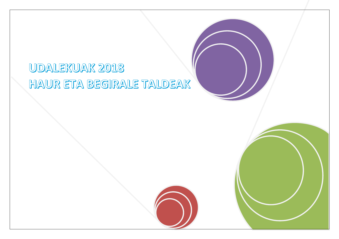# UDALEKUAK 2018 HAUR ETA BEGIRALE TALDEAK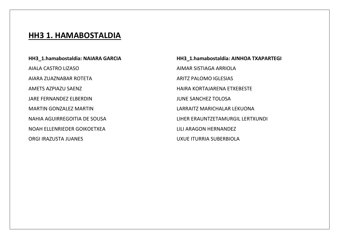#### **HH3 1. HAMABOSTALDIA**

**HH3\_1.hamabostaldia: NAIARA GARCIA** AIALA CASTRO LIZASO AIARA ZUAZNABAR ROTETA AMETS AZPIAZU SAENZ JARE FERNANDEZ ELBERDIN MARTIN GONZALEZ MARTIN NAHIA AGUIRREGOITIA DE SOUSA NOAH ELLENRIEDER GOIKOETXEA ORGI IRAZUSTA JUANES

**HH3\_1.hamabostaldia: AINHOA TXAPARTEGI** AIMAR SISTIAGA ARRIOLA ARITZ PALOMO IGLESIAS HAIRA KORTAJARENA ETXEBESTE JUNE SANCHEZ TOLOSA LARRAITZ MARICHALAR LEKUONA LIHER ERAUNTZETAMURGIL LERTXUNDI LILI ARAGON HERNANDEZ UXUE ITURRIA SUBERBIOLA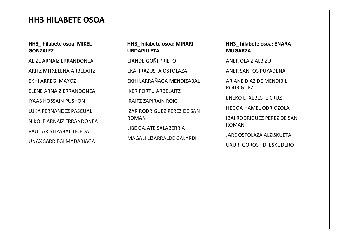### **HH3 HILABETE OSOA**

#### **HH3\_ hilabete osoa: MIKEL GONZALEZ**

ALIZE ARNAIZ ERRANDONEA

ARITZ MITXELENA ARBELAITZ

EKHI ARREGI MAYOZ

ELENE ARNAIZ ERRANDONEA

IYAAS HOSSAIN PUSHON LUKA FERNANDEZ PASCUAL NIKOLE ARNAIZ ERRANDONEA

PAUL ARISTIZABAL TEIFDA UNAX SARRIEGI MADARIAGA **HH3\_ hilabete osoa: MIRARI URDAPILLETA**

EIANDE GOÑI PRIETO

EKAI IRAZUSTA OSTOLAZA

EKHI LARRAÑAGA MENDIZABAL

IKER PORTU ARBELAITZ

IRAITZ ZAPIRAIN ROIG

IZAR RODRIGUEZ PEREZ DE SAN ROMAN

LIBE GAJATE SALABERRIA

MAGALI LIZARRALDE GALARDI

**HH3\_ hilabete osoa: ENARA MUGARZA**

ANER OLAIZ ALBIZU

ANER SANTOS PUYADENA

ARIANE DIAZ DE MENDIBIL RODRIGUEZ

ENEKO ETXEBESTE CRUZ

HEGOA HAMEL ODRIOZOLA

IBAI RODRIGUEZ PEREZ DE SAN ROMAN

JARE OSTOLAZA ALZISKUETA

UXURI GOROSTIDI ESKUDERO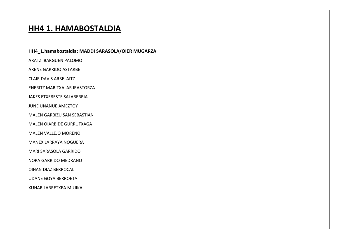### **HH4 1. HAMABOSTALDIA**

HH4\_1.hamabostaldia: MADDI SARASOLA/OIER MUGARZA

**ARATZ IBARGUEN PALOMO** 

ARENE GARRIDO ASTARBE

**CLAIR DAVIS ARBELAITZ** 

ENERITZ MARITXALAR IRASTORZA

JAKES ETXEBESTE SALABERRIA

**JUNE UNANUE AMEZTOY** 

**MALEN GARBIZU SAN SEBASTIAN** 

MALEN OIARBIDE GURRUTXAGA

MALEN VALLEJO MORENO

**MANEX LARRAYA NOGUERA** 

MARI SARASOLA GARRIDO

**NORA GARRIDO MEDRANO** 

OIHAN DIAZ BERROCAL

**UDANE GOYA BERROETA** 

XUHAR LARRETXEA MUJIKA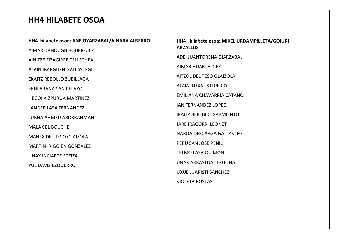#### **HH4 HILABETE OSOA**

**HH4\_hilabete osoa: ANE OYARZABAL/AINARA ALBERRO** AIMAR DANOUGH RODRIGUEZ AINITZE EIZAGIRRE TELLECHEA ALAIN IBARGUEN GALLASTEGI EKAITZ REBOLLO ZUBILLAGA EKHI ARANA SAN PELAYO HEGOI AIZPURUA MARTINEZ LANDER LASA FERNANDEZ LUBNA AHMED ABDRRAHMAN MALAK EL BOUCHE MANEX DEL TESO OLAIZOLA MARTIN IRIGOIEN GONZALEZ UNAX INCIARTE ECEIZA YUL DAVIS EZQUERRO

#### **HH4\_ hilabete osoa: MIKEL URDAMPILLETA/GOIURI ARZALLUS**

ADEI JUANTORENA OIARZABAL

AIMAR HUARTE DIEZ

AITZOL DEL TESO OLAIZOLA

ALAIA INTXAUSTI PERRY

EMILIANA CHAVARRIA CATAÑO

IAN FERNANDEZ LOPEZ

IRAITZ BEREBIDE SARMIENTO

JARE IRAGORRI LEONET

NAROA DESCARGA GALLASTEGI

PERU SAN JOSE PEÑIL

TELMO LASA GUIMON

UNAX ARRASTUA LEKUONA

UXUE JUARISTI SANCHEZ

VIOLETA ROSTAS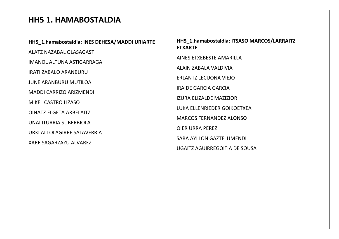## **HH5 1. HAMABOSTALDIA**

**HH5\_1.hamabostaldia: ITSASO MARCOS/LARRAITZ ETXARTE**

AINES ETXEBESTE AMARILLA

ALAIN ZABALA VALDIVIA

ERLANTZ LECUONA VIEJO

IRAIDE GARCIA GARCIA

IZURA ELIZALDE MAZIZIOR

LUKA ELLENRIEDER GOIKOETXEA

MARCOS FERNANDEZ ALONSO

OIER URRA PEREZ

SARA AYLLON GAZTELUMENDI

UGAITZ AGUIRREGOITIA DE SOUSA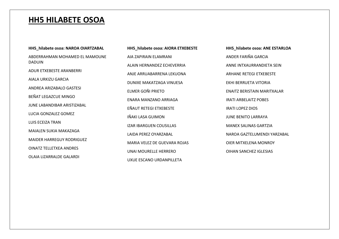#### **HH5 HILABETE OSOA**

**HH5\_hilabete osoa: NAROA OIARTZABAL**

ABDERRAHMAN MOHAMED EL MAMOUNE DADUIN

ADUR ETXEBESTE ARANBERRI

AIALA URKIZU GARCIA

ANDREA ARIZABALO GASTESI

BEÑAT LEGAZCUE MINGO

JUNE LABANDIBAR ARISTIZABAL

LUCIA GONZALEZ GOMEZ

LUIS ECEIZA TRAN

MAIALEN SUKIA MAKAZAGA

MAIDER HARREGUY RODRIGUEZ

OINATZ TELLETXEA ANDRES

OLAIA LIZARRALDE GALARDI

**HH5\_hilabete osoa: AIORA ETXEBESTE** AIA ZAPIRAIN ELAMRANI ALAIN HERNANDEZ ECHEVERRIA ANJE ARRUABARRENA LEKUONA DUNIXE MAKATZAGA VINUESA ELMER GOÑI PRIETO ENARA MANZANO ARRIAGA EÑAUT RETEGI ETXEBESTE IÑAKI LASA GUIMON IZAR IBARGUEN COUSILLAS LAIDA PEREZ OYARZABAL MARIA VELEZ DE GUEVARA ROJAS UNAI MOURELLE HERRERO UXUE ESCANO URDANPILLETA

**HH5\_hilabete osoa: ANE ESTARLOA** ANDER FARIÑA GARCIA ANNE INTXAURRANDIETA SEIN ARHANE RETEGI ETXEBESTE EKHI BERRUETA VITORIA ENAITZ BERISTAIN MARITXALAR IRATI ARBELAITZ POBES IRATI LOPEZ DIOS JUNE BENITO LARRAYA MANEX SALINAS GARTZIA NAROA GAZTELUMENDI YARZABAL OIER MITXELENA MONROY OIHAN SANCHEZ IGLESIAS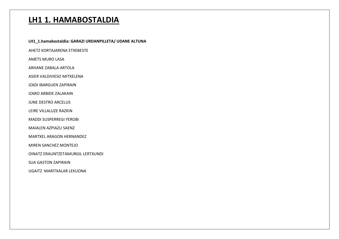### **LH1 1. HAMABOSTALDIA**

LH1\_1.hamabostaldia: GARAZI URDANPILLETA/ UDANE ALTUNA

AHETZ KORTAJARENA ETXEBESTE

AMETS MURO LASA

ARHANE ZABALA ARTOLA

ASIER VALDIVIESO MITXELENA

IZADI IBARGUEN ZAPIRAIN

**IZARO ARBIDE ZALAKAIN** 

JUNE DESTRO ARCELUS

LEIRE VILLALUZE RAZKIN

**MADDI SUSPERREGI YEROBI** 

MAIALEN AZPIAZU SAENZ

**MARTXEL ARAGON HERNANDEZ** 

MIREN SANCHEZ MONTEJO

OINATZ ERAUNTZETAMURGIL LERTXUNDI

**SUA GASTON ZAPIRAIN** 

UGAITZ MARITXALAR LEKUONA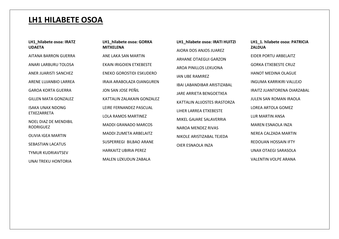#### **LH1 HILABETE OSOA**

**LH1\_hilabete osoa: IRATZ UDAETA**

AITANA BARRON GUERRA

ANARI LARBURU TOLOSA

ANER JUARISTI SANCHEZ

ARENE LUJANBIO LARREA

GAROA KORTA GUERRA

GILLEN MATA GONZALEZ

ISAKA UNAX NDONG ETXEZARRETA

NOEL DIAZ DE MENDIBIL RODRIGUEZ

OLIVIA IGEA MARTIN

SEBASTIAN LACATUS

TYMUR KUDRIAVTSEV

UNAI TREKU HONTORIA

**LH1\_hilabete osoa: GORKA MITXELENA** ANE LAKA SAN MARTIN EKAIN IRIGOIEN ETXEBESTE ENEKO GOROSTIDI ESKUDERO IRAIA ARABOLAZA OJANGUREN JON SAN JOSE PEÑIL KATTALIN ZALAKAIN GONZALEZ LEIRE FERNANDEZ PASCUAL LOLA RAMOS MARTINEZ MADDI GRANADO MARCOS MADDI ZUMETA ARBELAITZ SUSPERREGI BILBAO ARANE HARKAITZ UBIRIA PEREZ MALEN UZKUDUN ZABALA

**LH1\_hilabete osoa: IRATI HUITZI** AIORA DOS ANJOS JUAREZ ARHANE OTAEGUI GARZON AROA PINILLOS LEKUONA IAN UBE RAMIREZ IBAI LABANDIBAR ARISTIZABAL JARE ARRIETA BENGOETXEA KATTALIN ALIJOSTES IRASTORZA LIHER LARREA ETXEBESTE MIKEL GAJARE SALAVERRIA NAROA MENDEZ RIVAS NIKOLE ARISTIZABAL TEJEDA OIER ESNAOLA INZA

**LH1\_1. hilabete osoa: PATRICIA ZALDUA** EIDER PORTU ARBELAITZ GORKA ETXEBESTE CRUZ HANOT MEDINA OLAGUE INGUMA KARRIKIRI VALLEJO IRAITZ JUANTORENA OIARZABAL JULEN SAN ROMAN IRAOLA LOREA ARTOLA GOMEZ LUR MARTIN ANSA MAREN ESNAOLA INZA NEREA CALZADA MARTIN REDOUAN HOSSAIN IFTY UNAX OTAEGI SARASOLA VALENTIN VOLPE ARANA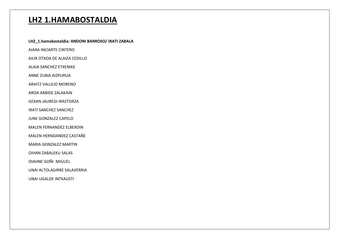### **LH2 1.HAMABOSTALDIA**

LH2\_1.hamabostaldia: ANDONI BARROSO/ IRATI ZABALA AIARA INCIARTE CINTERO AIUR OTXOA DE ALAIZA CEDILLO **ALAIA SANCHEZ ETXENIKE** ANNE ZUBIA AIZPURUA ARAITZ VALLEJO MORENO AROA ARBIDE ZALAKAIN **GEXAN JAUREGI IRASTORZA IRATI SANCHEZ SANCHEZ** JUNE GONZALEZ CAPELO **MALEN FERNANDEZ ELBERDIN** MALEN HERNDANDEZ CASTAÑE **MARIA GONZALEZ MARTIN** OIHAN ZABALEKU SALAS **OIAHNE GOÑI MIGUEL** UNAI ALTOLAGIRRE SALAVERRIA **UNAI UGALDE INTXAUSTI**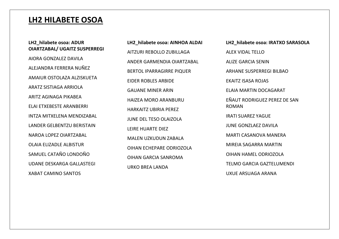### **LH2 HILABETE OSOA**

#### **LH2\_hilabete osoa: ADUR OIARTZABAL/ UGAITZ SUSPERREGI**

AIORA GONZALEZ DAVILA ALEJANDRA FERRERA NUÑEZ AMAIUR OSTOLAZA ALZISKUETA ARATZ SISTIAGA ARRIOLA ARITZ AGINAGA PIKABEA ELAI ETXEBESTE ARANBERRI INTZA MITXELENA MENDIZABAL LANDER GELBENTZU BERISTAIN NAROA LOPEZ OIARTZABAL OLAIA ELIZADLE ALBISTUR SAMUEL CATAÑO LONDOÑO UDANE DESKARGA GALLASTEGI XABAT CAMINO SANTOS

**LH2\_hilabete osoa: AINHOA ALDAI** AITZURI REBOLLO ZUBILLAGA ANDER GARMENDIA OIARTZABAL BERTOL IPARRAGIRRE PIQUER EIDER ROBLES ARBIDE GAUANE MINER ARIN HAIZEA MORO ARANBURU HARKAITZ UBIRIA PEREZ JUNE DEL TESO OLAIZOLA LEIRE HUARTE DIEZ MALEN UZKUDUN ZABALA OIHAN ECHEPARE ODRIOZOLA OIHAN GARCIA SANROMA URKO BREA LANDA

**LH2\_hilabete osoa: IRATXO SARASOLA** ALEX VIDAL TELLO ALIZE GARCIA SENIN ARHANE SUSPERREGI BILBAO EKAITZ ISASA ROJAS ELAIA MARTIN DOCAGARAT EÑAUT RODRIGUEZ PEREZ DE SAN ROMAN IRATI SUAREZ YAGUE JUNE GONZLAEZ DAVILA MARTI CASANOVA MANERA MIREIA SAGARRA MARTIN OIHAN HAMEL ODRIOZOLA TELMO GARCIA GAZTELUMENDI UXUE ARSUAGA ARANA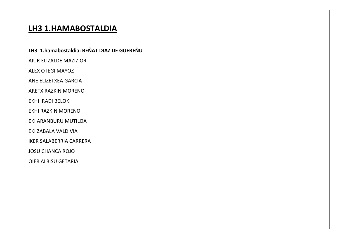### **LH3 1.HAMABOSTALDIA**

#### LH3\_1.hamabostaldia: BEÑAT DIAZ DE GUEREÑU

AIUR ELIZALDE MAZIZIOR

**ALEX OTEGI MAYOZ** 

ANE ELIZETXEA GARCIA

**ARETX RAZKIN MORENO** 

EKHI IRADI BELOKI

EKHI RAZKIN MORENO

EKI ARANBURU MUTILOA

EKI ZABALA VALDIVIA

**IKER SALABERRIA CARRERA** 

**JOSU CHANCA ROJO** 

**OIER ALBISU GETARIA**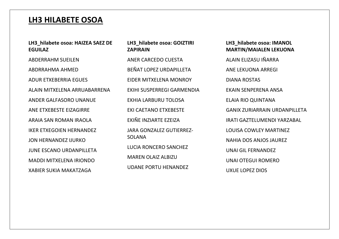#### **LH3 HILABETE OSOA**

#### **LH3\_hilabete osoa: HAIZEA SAEZ DE EGUILAZ**

ABDERRAHM SUEILEN ABDRRAHMA AHMED ADUR ETXEBERRIA EGUES ALAIN MITXELENA ARRUABARRENA ANDER GALFASORO UNANUE ANE ETXEBESTE EIZAGIRRE ARAIA SAN ROMAN IRAOLA IKER ETXEGOIEN HERNANDEZ JON HERNANDEZ IJURKO JUNE ESCANO URDANPILLETA MADDI MITXELENA IRIONDO XABIER SUKIA MAKATZAGA

#### **LH3\_hilabete osoa: GOIZTIRI ZAPIRAIN**

ANER CARCEDO CUESTA BEÑAT LOPEZ URDAPILLETA EIDER MITXELENA MONROY EKIHI SUSPERREGI GARMENDIA EKHIA LARBURU TOLOSA EKI CAETANO ETXEBESTE EKIÑE INZIARTE EZEIZA JARA GONZALEZ GUTIERREZ-SOLANA LUCIA RONCERO SANCHEZ MAREN OLAIZ ALBIZU UDANE PORTU HENANDEZ

#### **LH3\_hilabete osoa: IMANOL MARTIN/MAIALEN LEKUONA**

ALAIN ELIZASU IÑARRA

ANE LEKUONA ARREGI

DIANA ROSTAS

EKAIN SENPERENA ANSA

ELAIA RIO QUINTANA

GANIX ZURIARRAIN URDANPILLETA

IRATI GAZTELUMENDI YARZABAL

LOUISA COWLEY MARTINEZ

NAHIA DOS ANJOS JAUREZ

UNAI GIL FERNANDEZ

UNAI OTEGUI ROMERO

UXUE LOPEZ DIOS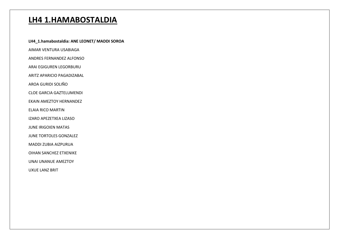### **LH4 1.HAMABOSTALDIA**

LH4\_1.hamabostaldia: ANE LEONET/ MADDI SOROA

AIMAR VENTURA USABIAGA

ANDRES FERNANDEZ ALFONSO

ARAI EGIGUREN LEGORBURU

ARITZ APARICIO PAGADIZABAL

AROA GURIDI SOLIÑO

**CLOE GARCIA GAZTELUMENDI** 

**EKAIN AMEZTOY HERNANDEZ** 

**ELAIA RICO MARTIN** 

IZARO APEZETXEA LIZASO

**JUNE IRIGOIEN MATAS** 

JUNE TORTOLES GONZALEZ

MADDI ZUBIA AIZPURUA

OIHAN SANCHEZ ETXENIKE

UNAI UNANUE AMEZTOY

**UXUE LANZ BRIT**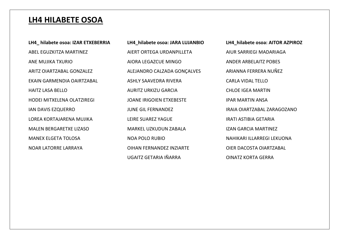#### **LH4 HILABETE OSOA**

**LH4\_ hilabete osoa: IZAR ETXEBERRIA** ABEL EGUZKITZA MARTINEZ ANE MUJIKA TXURIO ARITZ OIARTZABAL GONZALEZ EKAIN GARMENDIA OAIRTZABAL HAITZ LASA BELLO HODEI MITXELENA OLATZIREGI IAN DAVIS EZQUERRO LOREA KORTAJARENA MUJIKA MALEN BERGARETXE LIZASO MANEX ELGETA TOLOSA NOAR LATORRE LARRAYA

**LH4\_hilabete osoa: JARA LUJANBIO** AIERT ORTEGA URDANPILLETA AIORA LEGAZCUE MINGO ALEJANDRO CALZADA GONÇALVES ASHLY SAAVEDRA RIVERA AURITZ URKIZU GARCIA JOANE IRIGOIEN ETXEBESTE JUNE GIL FERNANDEZ LEIRE SUAREZ YAGUE MARKEL UZKUDUN ZABALA NOA POLO RUBIO OIHAN FERNANDEZ INZIARTE UGAITZ GETARIA IÑARRA

**LH4\_hilabete osoa: AITOR AZPIROZ** AIUR SARRIEGI MADARIAGA ANDER ARBELAITZ POBES ARIANNA FERRERA NUÑEZ CARLA VIDAL TELLO CHLOE IGEA MARTIN IPAR MARTIN ANSA IRAIA OIARTZABAL ZARAGOZANO IRATI ASTIBIA GETARIA IZAN GARCIA MARTINEZ NAHIKARI ILLARREGI LEKUONA OIER DACOSTA OIARTZABAL OINATZ KORTA GERRA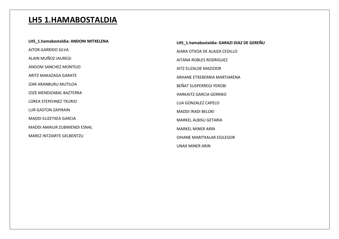### **LH5 1.HAMABOSTALDIA**

**LH5\_1.hamabostaldia: ANDONI MITXELENA** AITOR GARRIDO SILVA ALAIN MUÑOZ JAUREGI ANDONI SANCHEZ MONTEJO ARITZ MAKAZAGA GARATE IZAR ARANBURU MUTILOA IZIZE MENDIZABAL BAZTERRA LOREA STEPEHNEZ TXURIO LUR GASTON ZAPIRAIN MADDI ELIZETXEA GARCIA MADDI AMAIUR ZUBIMENDI ESNAL MAREZ INTZIARTE GELBENTZU

**LH5\_1.hamabostaldia: GARAZI DIAZ DE GEREÑU** AIARA OTXOA DE ALAIZA CEDILLO AITANA ROBLES RODRIGUEZ AITZ ELIZALDE MAZIZIOR ARHANE ETXEBERRIA MARTIARENA BEÑAT SUSPERREGI YEROBI HARKAITZ GARCIA GERRIKO LUA GONZALEZ CAPELO MADDI IRADI BELOKI MARKEL ALBISU GETARIA MARKEL MINER ARIN OIHANE MARITXALAR EGILEGOR UNAX MINER ARIN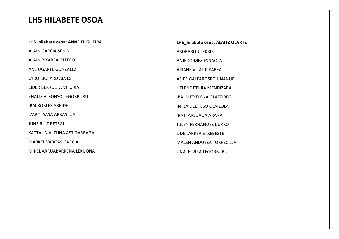# **LH5 HILABETE OSOA**

| LH5 hilabete osoa: ANNE FILGUEIRA | LH5 hilabete osoa: ALAITZ OLARTE |
|-----------------------------------|----------------------------------|
| <b>ALAIN GARCIA SENIN</b>         | <b>ABDRABOU LEKBIR</b>           |
| ALAIN PIKABEA OLLERO              | ANJE GOMEZ ESNAOLA               |
| ANE UGARTE GONZALEZ               | ARIANE VITAL PIKABEA             |
| <b>CYRO RICHARD ALVES</b>         | ASIER GALFAROSRO UNANUE          |
| EIDER BERRUETA VITORIA            | HELENE ETURA MENDIZABAL          |
| <b>ENAITZ ALFONSO LEGORBURU</b>   | <b>IBAI MITXELENA OLATZIREGI</b> |
| <b>IBAI ROBLES ARBIDE</b>         | INTZA DEL TESO OLAIZOLA          |
| <b>IZARO ISASA ARRASTUA</b>       | IRATI ARSUAGA ARANA              |
| <b>JUNE RUIZ RETEGI</b>           | <b>JULEN FERNANDEZ IJURKO</b>    |
| KATTALIN ALTUNA ASTIGARRAGA       | LIDE LARREA ETXEBESTE            |
| <b>MARKEL VARGAS GARCIA</b>       | <b>MALEN ANDUEZA TORRECILLA</b>  |
| MIKEL ARRUABARRENA LEKUONA        | UNAI ELVIRA LEGORBURU            |
|                                   |                                  |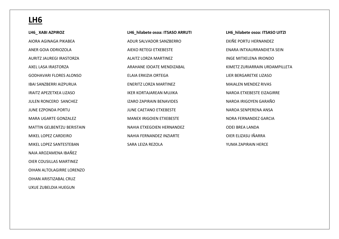#### **LH6**

**LH6\_ XABI AZPIROZ** AIORA AGINAGA PIKABEA ANER GOIA ODRIOZOLA AURITZ JAUREGI IRASTORZA AXEL LASA IRASTORZA GODHAVARI FLORES ALONSO IBAI SANZBERRI AIZPURUA IRAITZ APEZETXEA LIZASO JULEN RONCERO SANCHEZ JUNE EZPONDA PORTU MARA UGARTE GONZALEZ MATTIN GELBENTZU BERISTAIN MIKEL LOPEZ CARDEIRO MIKEL LOPEZ SANTESTEBAN NAIA AROZAMENA IBAÑEZ OIER COUSILLAS MARTINEZ OIHAN ALTOLAGIRRE LORENZO OIHAN ARISTIZABAL CRUZ UXUE ZUBELDIA HUEGUN

**LH6\_hilabete osoa: ITSASO ARRUTI** ADUR SALVADOR SANZBERRO AIEKO RETEGI ETXEBESTE ALAITZ LORZA MARTINEZ ARAHANE IDOATE MENDIZABAL ELAIA ERKIZIA ORTEGA ENERITZ LORZA MARTINEZ IKER KORTAJAREAN MUJIKA IZARO ZAPIRAIN BENAVIDES JUNE CAETANO ETXEBESTE MANEX IRIGOIEN ETXEBESTE NAHIA ETXEGOIEN HERNANDEZ NAHIA FERNANDEZ INZIARTE SARA LEIZA REZOLA

**LH6\_hilabete osoa: ITSASO UITZI** EKIÑE PORTU HERNANDEZ ENARA INTXAURRANDIETA SEIN INGE MITXELENA IRIONDO KIMETZ ZURIARRAIN URDAMPILLETA LIER BERGARETXE LIZASO MAIALEN MENDEZ RIVAS NAROA ETXEBESTE EIZAGIRRE NAROA IRIGOYEN GARAÑO NAROA SENPERENA ANSA NORA FERNANDEZ GARCIA ODEI BREA LANDA OIER ELIZASU IÑARRA YUMA ZAPIRAIN HERCE